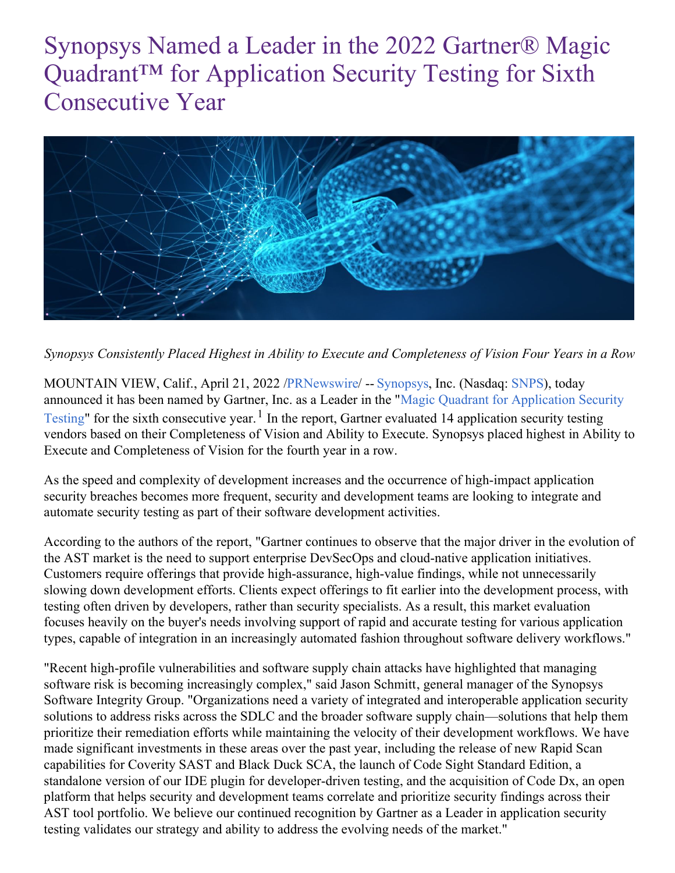# Synopsys Named a Leader in the 2022 Gartner® Magic Quadrant<sup>™</sup> for Application Security Testing for Sixth Consecutive Year



*Synopsys Consistently Placed Highest in Ability to Execute and Completeness of Vision Four Years in a Row*

MOUNTAIN VIEW, Calif., April 21, 2022 [/PRNewswire](http://www.prnewswire.com/)/ -- [Synopsys](https://c212.net/c/link/?t=0&l=en&o=3511217-1&h=3931501405&u=https%3A%2F%2Fwww.synopsys.com%2F%3Fcmp%3Dpr-sig%26utm_medium%3Dreferral&a=Synopsys), Inc. (Nasdaq: [SNPS](https://c212.net/c/link/?t=0&l=en&o=3511217-1&h=2077332936&u=https%3A%2F%2Fwww.synopsys.com%2Fcompany%2Finvestor-relations.html%3Fcmp%3Dpr-sig%26utm_medium%3Dreferral&a=SNPS)), today announced it has been named by Gartner, Inc. as a Leader in the "Magic Quadrant for [Application](https://c212.net/c/link/?t=0&l=en&o=3511217-1&h=2597873578&u=https%3A%2F%2Fwww.synopsys.com%2Fsoftware-integrity%2Fresources%2Fanalyst-reports%2Fgartner-magic-quadrant-appsec.html%3Fcmp%3Dpr-sig%26utm_medium%3Dreferral&a=Magic+Quadrant+for+Application+Security+Testing) Security Testing" for the sixth consecutive year.<sup>1</sup> In the report, Gartner evaluated 14 application security testing vendors based on their Completeness of Vision and Ability to Execute. Synopsys placed highest in Ability to Execute and Completeness of Vision for the fourth year in a row.

As the speed and complexity of development increases and the occurrence of high-impact application security breaches becomes more frequent, security and development teams are looking to integrate and automate security testing as part of their software development activities.

According to the authors of the report, "Gartner continues to observe that the major driver in the evolution of the AST market is the need to support enterprise DevSecOps and cloud-native application initiatives. Customers require offerings that provide high-assurance, high-value findings, while not unnecessarily slowing down development efforts. Clients expect offerings to fit earlier into the development process, with testing often driven by developers, rather than security specialists. As a result, this market evaluation focuses heavily on the buyer's needs involving support of rapid and accurate testing for various application types, capable of integration in an increasingly automated fashion throughout software delivery workflows."

"Recent high-profile vulnerabilities and software supply chain attacks have highlighted that managing software risk is becoming increasingly complex," said Jason Schmitt, general manager of the Synopsys Software Integrity Group. "Organizations need a variety of integrated and interoperable application security solutions to address risks across the SDLC and the broader software supply chain—solutions that help them prioritize their remediation efforts while maintaining the velocity of their development workflows. We have made significant investments in these areas over the past year, including the release of new Rapid Scan capabilities for Coverity SAST and Black Duck SCA, the launch of Code Sight Standard Edition, a standalone version of our IDE plugin for developer-driven testing, and the acquisition of Code Dx, an open platform that helps security and development teams correlate and prioritize security findings across their AST tool portfolio. We believe our continued recognition by Gartner as a Leader in application security testing validates our strategy and ability to address the evolving needs of the market."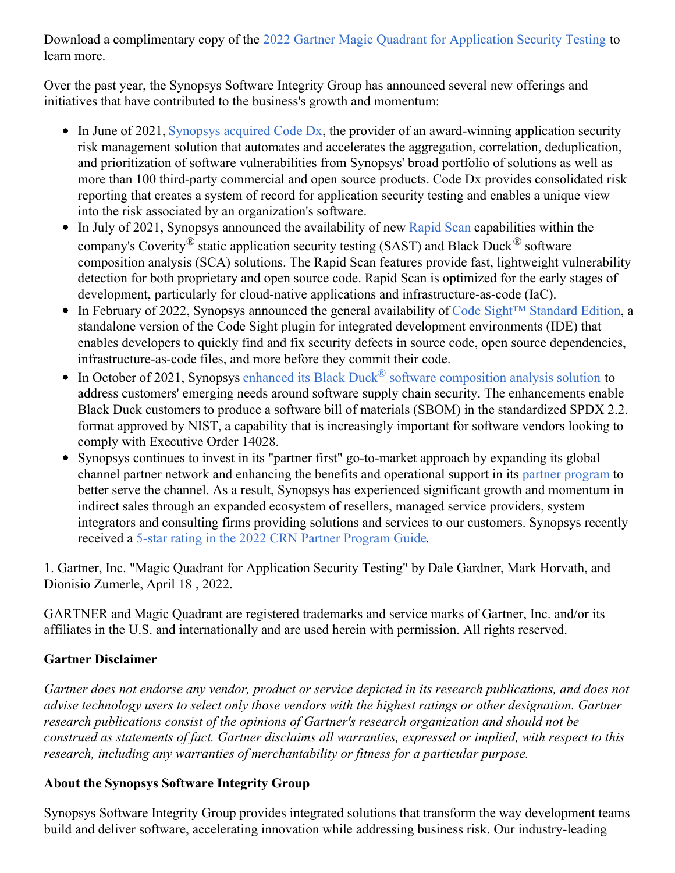Download a complimentary copy of the 2022 Gartner Magic Quadrant for [Application](https://c212.net/c/link/?t=0&l=en&o=3511217-1&h=3995714659&u=https%3A%2F%2Fwww.synopsys.com%2Fsoftware-integrity%2Fresources%2Fanalyst-reports%2Fgartner-magic-quadrant-appsec.html%3Fcmp%3Dpr-sig%26utm_medium%3Dreferral&a=2022+Gartner+Magic+Quadrant+for+Application+Security+Testing) Security Testing to learn more.

Over the past year, the Synopsys Software Integrity Group has announced several new offerings and initiatives that have contributed to the business's growth and momentum:

- $\bullet$  In June of 2021, [Synopsys](https://c212.net/c/link/?t=0&l=en&o=3511217-1&h=1509942020&u=https%3A%2F%2Fnews.synopsys.com%2F2021-06-08-Synopsys-Acquires-Code-Dx-to-Extend-Application-Security-Portfolio%3Fcmp%3Dpr-sig%26utm_medium%3Dreferral&a=Synopsys+acquired+Code+Dx) acquired Code Dx, the provider of an award-winning application security risk management solution that automates and accelerates the aggregation, correlation, deduplication, and prioritization of software vulnerabilities from Synopsys' broad portfolio of solutions as well as more than 100 third-party commercial and open source products. Code Dx provides consolidated risk reporting that creates a system of record for application security testing and enables a unique view into the risk associated by an organization's software.
- In July of 2021, Synopsys announced the availability of new [Rapid](https://c212.net/c/link/?t=0&l=en&o=3511217-1&h=3038152933&u=https%3A%2F%2Fnews.synopsys.com%2F2021-07-27-Synopsys-Advances-Application-Security-Testing-for-Developers-with-Rapid-Scan%3Fcmp%3Dpr-sig%26utm_medium%3Dreferral&a=Rapid+Scan) Scan capabilities within the company's Coverity® static application security testing (SAST) and Black Duck<sup>®</sup> software composition analysis (SCA) solutions. The Rapid Scan features provide fast, lightweight vulnerability detection for both proprietary and open source code. Rapid Scan is optimized for the early stages of development, particularly for cloud-native applications and infrastructure-as-code (IaC).
- In February of 2022, Synopsys announced the general availability of Code Sight™ [Standard](https://c212.net/c/link/?t=0&l=en&o=3511217-1&h=3528996033&u=https%3A%2F%2Fwww.synopsys.com%2Fsoftware-integrity%2Fcode-sight.html%3Fcmp%3Dpr-sig%26utm_medium%3Dreferral&a=Code+Sight%E2%84%A2+Standard+Edition) Edition, a standalone version of the Code Sight plugin for integrated development environments (IDE) that enables developers to quickly find and fix security defects in source code, open source dependencies, infrastructure-as-code files, and more before they commit their code.
- In October of 2021, Synopsys enhanced its Black Duck<sup>®</sup> software [composition](https://c212.net/c/link/?t=0&l=en&o=3511217-1&h=3634600475&u=https%3A%2F%2Fwww.synopsys.com%2Fblogs%2Fsoftware-security%2Fbuilding-sbom-with-black-duck%2F%3Fcmp%3Dpr-sig%26utm_medium%3Dreferral&a=enhanced+its+Black+Duck%C2%AE+software+composition+analysis+solution) analysis solution to address customers' emerging needs around software supply chain security. The enhancements enable Black Duck customers to produce a software bill of materials (SBOM) in the standardized SPDX 2.2. format approved by NIST, a capability that is increasingly important for software vendors looking to comply with Executive Order 14028.
- Synopsys continues to invest in its "partner first" go-to-market approach by expanding its global channel partner network and enhancing the benefits and operational support in its partner [program](https://c212.net/c/link/?t=0&l=en&o=3511217-1&h=4011413279&u=https%3A%2F%2Fwww.synopsys.com%2Fsoftware-integrity%2Fpartners.html%3Fcmp%3Dpr-sig%26utm_medium%3Dreferral&a=partner+program) to better serve the channel. As a result, Synopsys has experienced significant growth and momentum in indirect sales through an expanded ecosystem of resellers, managed service providers, system integrators and consulting firms providing solutions and services to our customers. Synopsys recently received a 5-star rating in the 2022 CRN Partner [Program](https://c212.net/c/link/?t=0&l=en&o=3511217-1&h=3724412901&u=https%3A%2F%2Fnews.synopsys.com%2F2022-03-28-CRN-R-Honors-Synopsys%2C-Inc-With-5-Star-Rating-in-2022-Partner-Program-Guide%3Fcmp%3Dpr-sig%26utm_medium%3Dreferral&a=5-star+rating+in+the+2022+CRN+Partner+Program+Guide) Guide.

1. Gartner, Inc. "Magic Quadrant for Application Security Testing" by Dale Gardner, Mark Horvath, and Dionisio Zumerle, April 18 , 2022.

GARTNER and Magic Quadrant are registered trademarks and service marks of Gartner, Inc. and/or its affiliates in the U.S. and internationally and are used herein with permission. All rights reserved.

## **Gartner Disclaimer**

Gartner does not endorse any vendor, product or service depicted in its research publications, and does not *advise technology users to select only those vendors with the highest ratings or other designation. Gartner research publications consist of the opinions of Gartner's research organization and should not be construed as statements of fact. Gartner disclaims all warranties, expressed or implied, with respect to this research, including any warranties of merchantability or fitness for a particular purpose.*

### **About the Synopsys Software Integrity Group**

Synopsys Software Integrity Group provides integrated solutions that transform the way development teams build and deliver software, accelerating innovation while addressing business risk. Our industry-leading